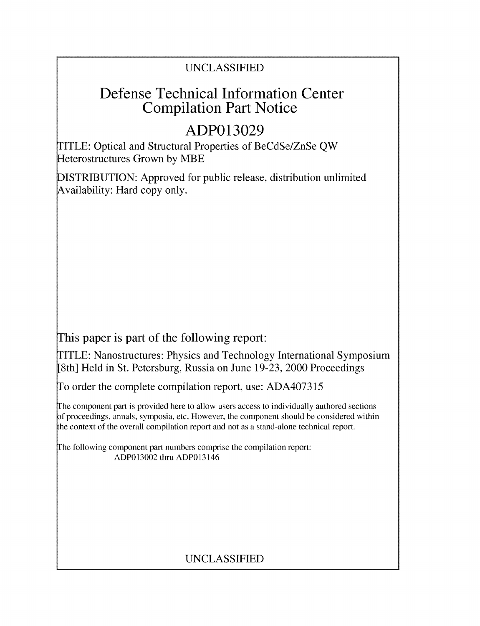### UNCLASSIFIED

## Defense Technical Information Center Compilation Part Notice

# **ADP013029**

TITLE: Optical and Structural Properties of BeCdSe/ZnSe QW Heterostructures Grown by MBE

DISTRIBUTION: Approved for public release, distribution unlimited Availability: Hard copy only.

This paper is part of the following report:

TITLE: Nanostructures: Physics and Technology International Symposium [8th] Held in St. Petersburg, Russia on June 19-23, 2000 Proceedings

To order the complete compilation report, use: ADA407315

The component part is provided here to allow users access to individually authored sections f proceedings, annals, symposia, etc. However, the component should be considered within the context of the overall compilation report and not as a stand-alone technical report.

The following component part numbers comprise the compilation report: ADP013002 thru ADP013146

## UNCLASSIFIED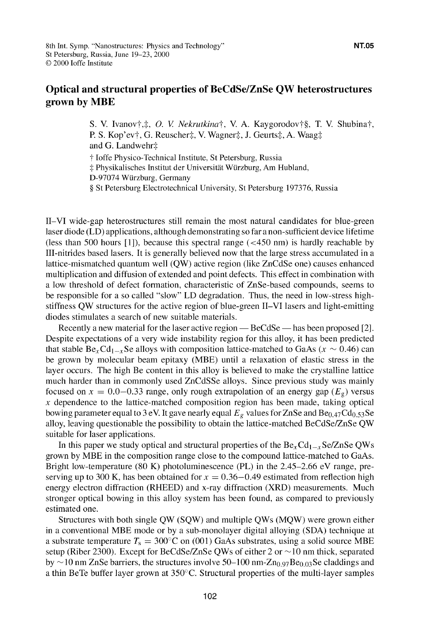### Optical and structural properties **of** BeCdSe/ZnSe **QW** heterostructures grown **by** MBE

S. V. Ivanov $\dagger, \ddagger, O$ . *V. Nekrutkina* $\dagger$ , V. A. Kaygorodov $\dagger$ §, T. V. Shubina $\dagger$ , P. S. Kop'ev†, G. Reuscher‡, V. Wagner‡, J. Geurts‡, A. Waag‡ and G. Landwehr<sup> $\ddagger$ </sup>

**T** Joffe Physico-Technical Institute, St Petersburg, Russia

 $\ddagger$  Physikalisches Institut der Universität Würzburg, Am Hubland,

D-97074 Wuirzburg, Germany

§ St Petersburg Electrotechnical University, St Petersburg 197376, Russia

1I-VI wide-gap heterostructures still remain the most natural candidates for blue-green laser diode (LD) applications, although demonstrating so far a non-sufficient device lifetime (less than 500 hours **[11),** because this spectral range (<450 nm) is hardly reachable by III-nitrides based lasers. It is generally believed now that the large stress accumulated in a lattice-mismatched quantum well (QW) active region (like ZnCdSe one) causes enhanced multiplication and diffusion of extended and point defects. This effect in combination with a low threshold of defect formation, characteristic of ZnSe-based compounds, seems to be responsible for a so called "slow" LD degradation. Thus, the need in low-stress highstiffness QW structures for the active region of blue-green I1-VI lasers and light-emitting diodes stimulates a search of new suitable materials.

Recently a new material for the laser active region **-** BeCdSe **-** has been proposed [21. Despite expectations of a very wide instability region for this alloy, it has been predicted that stable  $Be_xCd_{1-x}Se$  alloys with composition lattice-matched to GaAs ( $x \sim 0.46$ ) can be grown by molecular beam epitaxy (MBE) until a relaxation of elastic stress in the layer occurs. The high Be content in this alloy is believed to make the crystalline lattice much harder than in commonly used ZnCdSSe alloys. Since previous study was mainly focused on  $x = 0.0-0.33$  range, only rough extrapolation of an energy gap ( $E_g$ ) versus  $x$  dependence to the lattice-matched composition region has been made, taking optical bowing parameter equal to 3 eV. It gave nearly equal  $E_g$  values for ZnSe and Be<sub>0.47</sub>Cd<sub>0.53</sub>Se alloy, leaving questionable the possibility to obtain the lattice-matched BeCdSe/ZnSe QW suitable for laser applications.

In this paper we study optical and structural properties of the  $Be_xCd_{1-x}Se/ZnSe$  QWs grown by MBE in the composition range close to the compound lattice-matched to GaAs. Bright low-temperature (80 K) photoluminescence (PL) in the 2.45-2.66 eV range, preserving up to 300 K, has been obtained for  $x = 0.36 - 0.49$  estimated from reflection high energy electron diffraction (RHEED) and x-ray diffraction (XRD) measurements. Much stronger optical bowing in this alloy system has been found, as compared to previously estimated one.

Structures with both single QW (SQW) and multiple QWs (MQW) were grown either in a conventional MBE mode or by a sub-monolayer digital alloying (SDA) technique at a substrate temperature  $T_s = 300^{\circ}\text{C}$  on (001) GaAs substrates, using a solid source MBE setup (Riber 2300). Except for BeCdSe/ZnSe QWs of either 2 or  $\sim$ 10 nm thick, separated by  $\sim$ 10 nm ZnSe barriers, the structures involve 50–100 nm-Zn<sub>0.97</sub>Be<sub>0.03</sub>Se claddings and a thin BeTe buffer layer grown at 350'C. Structural properties of the multi-layer samples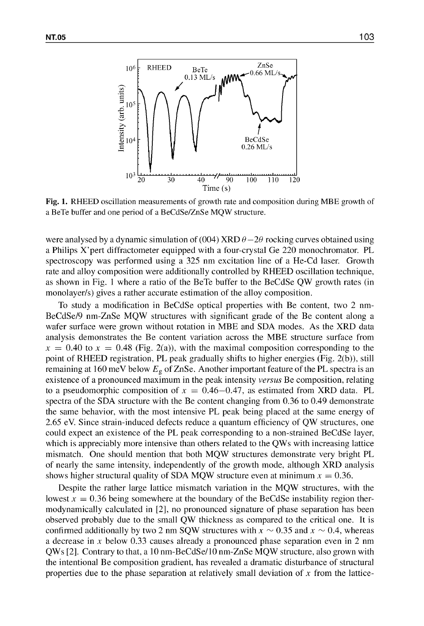

Fig. **1.** RHEED oscillation measurements of growth rate and composition during MBE growth of a BeTe buffer and one period of a BeCdSe/ZnSe MQW structure.

were analysed by a dynamic simulation of (004) XRD  $\theta$  -2 $\theta$  rocking curves obtained using a Philips X'pert diffractometer equipped with a four-crystal Ge 220 monochromator. PL spectroscopy was performed using a 325 nm excitation line of a He-Cd laser. Growth rate and alloy composition were additionally controlled by RHEED oscillation technique, as shown in Fig. **I** where a ratio of the BeTe buffer to the BeCdSe QW growth rates (in monolayer/s) gives a rather accurate estimation of the alloy composition.

To study a modification in BeCdSe optical properties with Be content, two 2 nm-BeCdSe/9 nm-ZnSe MQW structures with significant grade of the Be content along a wafer surface were grown without rotation in MBE and SDA modes. As the XRD data analysis demonstrates the Be content variation across the MBE structure surface from  $x = 0.40$  to  $x = 0.48$  (Fig. 2(a)), with the maximal composition corresponding to the point of RHEED registration, PL peak gradually shifts to higher energies (Fig. 2(b)), still remaining at 160 meV below  $E<sub>g</sub>$  of ZnSe. Another important feature of the PL spectra is an existence of a pronounced maximum in the peak intensity *versus* Be composition, relating to a pseudomorphic composition of  $x = 0.46-0.47$ , as estimated from XRD data. PL spectra of the SDA structure with the Be content changing from 0.36 to 0.49 demonstrate the same behavior, with the most intensive PL peak being placed at the same energy of 2.65 eV. Since strain-induced defects reduce a quantum efficiency of QW structures, one could expect an existence of the PL peak corresponding to a non-strained BeCdSe layer, which is appreciably more intensive than others related to the QWs with increasing lattice mismatch. One should mention that both MQW structures demonstrate very bright PL of nearly the same intensity, independently of the growth mode, although XRD analysis shows higher structural quality of SDA MQW structure even at minimum  $x = 0.36$ .

Despite the rather large lattice mismatch variation in the MQW structures, with the lowest  $x = 0.36$  being somewhere at the boundary of the BeCdSe instability region thermodynamically calculated in [21, no pronounced signature of phase separation has been observed probably due to the small QW thickness as compared to the critical one. It is confirmed additionally by two 2 nm SQW structures with  $x \sim 0.35$  and  $x \sim 0.4$ , whereas a decrease in x below  $0.33$  causes already a pronounced phase separation even in 2 nm QWs [2 **1.** Contrary to that, a 10 nm-BeCdSe/I0 nm-ZnSe MQW structure, also grown with the intentional Be composition gradient, has revealed a dramatic disturbance of structural properties due to the phase separation at relatively small deviation of x from the lattice-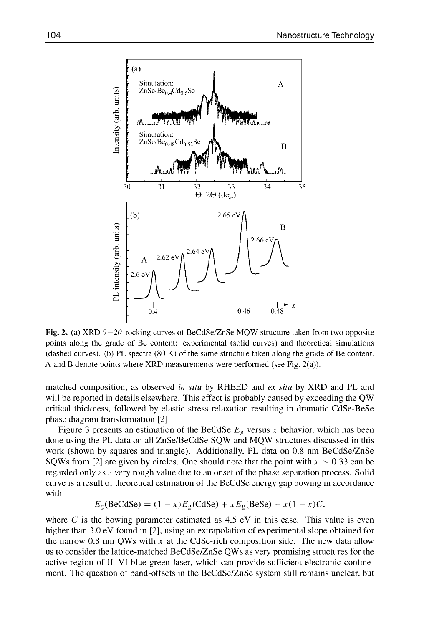

Fig. 2. (a) XRD  $\theta - 2\theta$ -rocking curves of BeCdSe/ZnSe MQW structure taken from two opposite points along the grade of Be content: experimental (solid curves) and theoretical simulations (dashed curves). (b) PL spectra (80 K) of the same structure taken along the grade of Be content. A and B denote points where XRD measurements were performed (see Fig. 2(a)).

matched composition, as observed *in situ* by RHEED and *ex situ* by XRD and PL and will be reported in details elsewhere. This effect is probably caused by exceeding the QW critical thickness, followed by elastic stress relaxation resulting in dramatic CdSe-BeSe phase diagram transformation **[21.**

Figure 3 presents an estimation of the BeCdSe  $E<sub>g</sub>$  versus x behavior, which has been done using the PL data on all ZnSe/BeCdSe SQW and MQW structures discussed in this work (shown by squares and triangle). Additionally, PL data on 0.8 nm BeCdSe/ZnSe SQWs from [2] are given by circles. One should note that the point with  $x \sim 0.33$  can be regarded only as a very rough value due to an onset of the phase separation process. Solid curve is a result of theoretical estimation of the BeCdSe energy gap bowing in accordance with

$$
E_{\rm g}(\text{BeCdSe}) = (1 - x)E_{\rm g}(\text{CdSe}) + xE_{\rm g}(\text{BeSe}) - x(1 - x)C,
$$

where C is the bowing parameter estimated as  $4.5$  eV in this case. This value is even higher than 3.0 eV found in [2], using an extrapolation of experimental slope obtained for the narrow 0.8 nm QWs with x at the CdSe-rich composition side. The new data allow us to consider the lattice-matched BeCdSe/ZnSe QWs as very promising structures for the active region of 1I-VI blue-green laser, which can provide sufficient electronic confinement. The question of band-offsets in the BeCdSe/ZnSe system still remains unclear, but